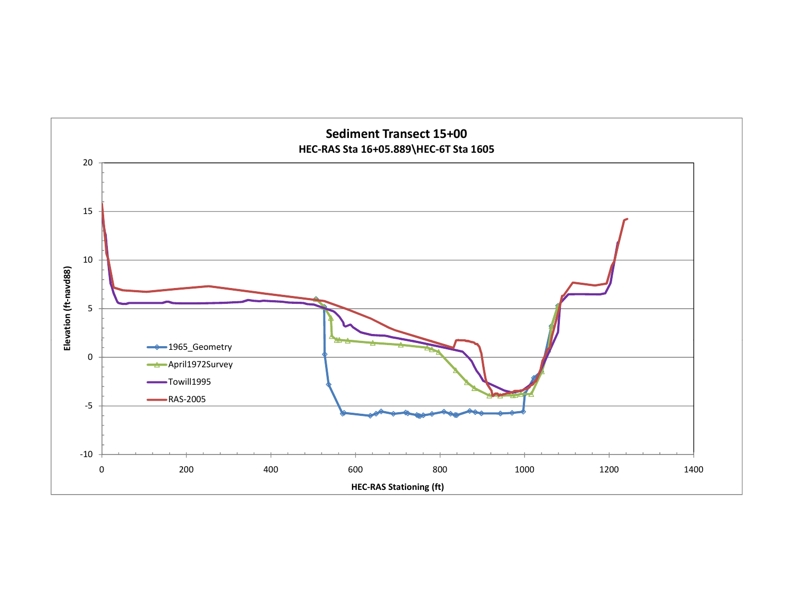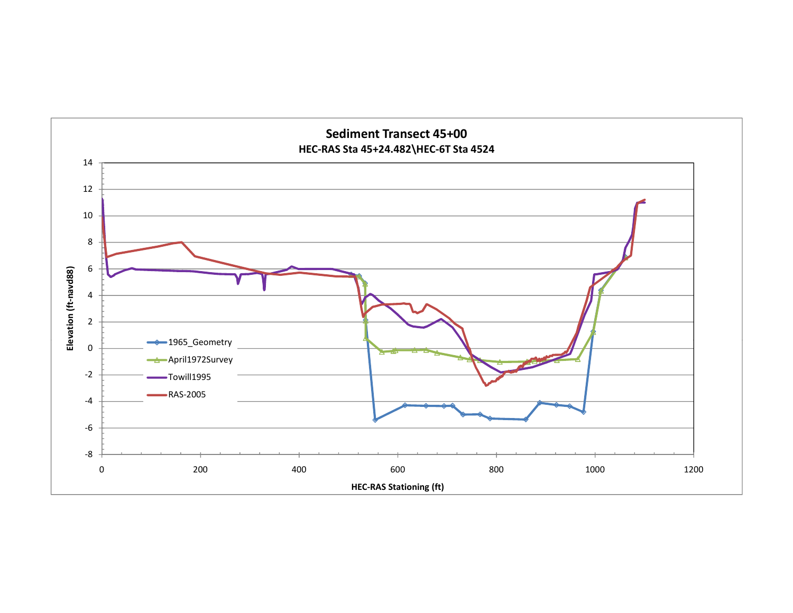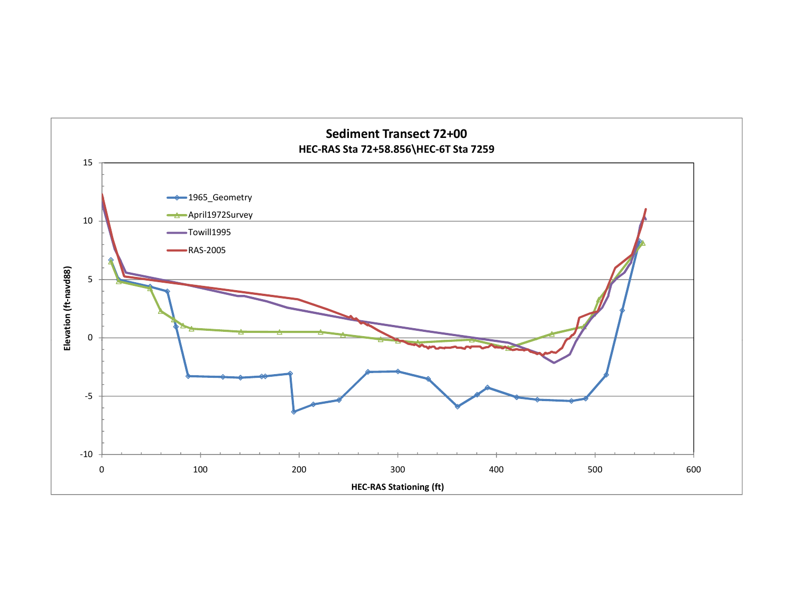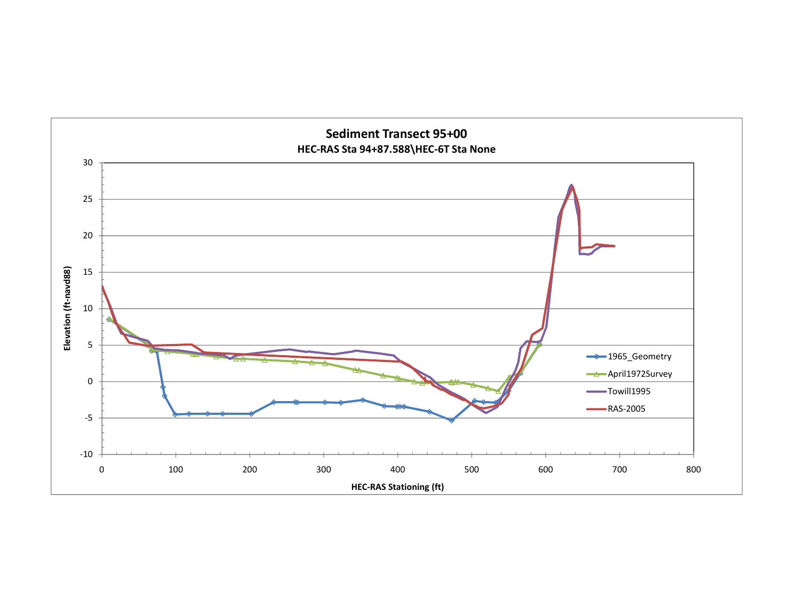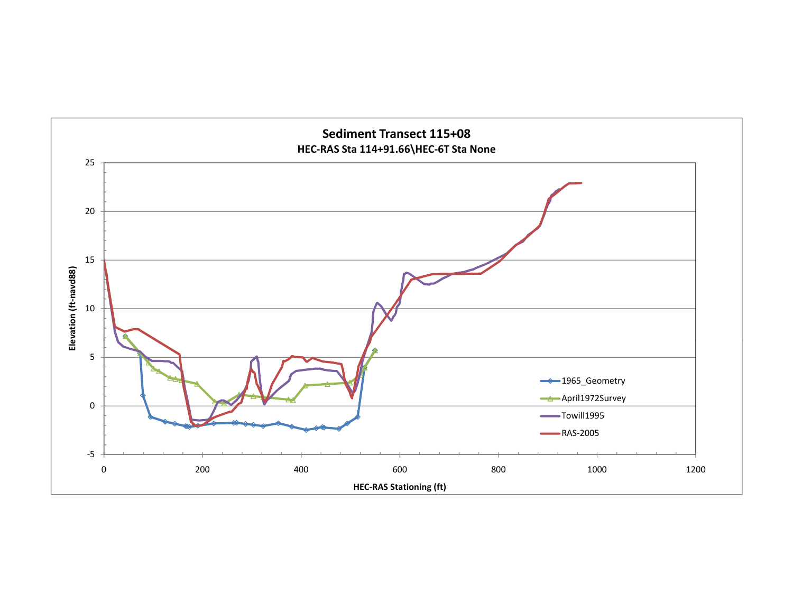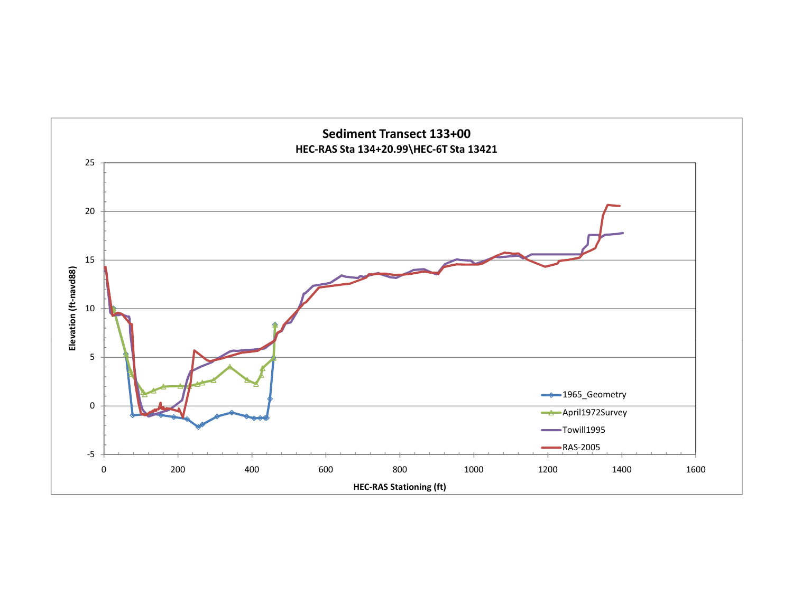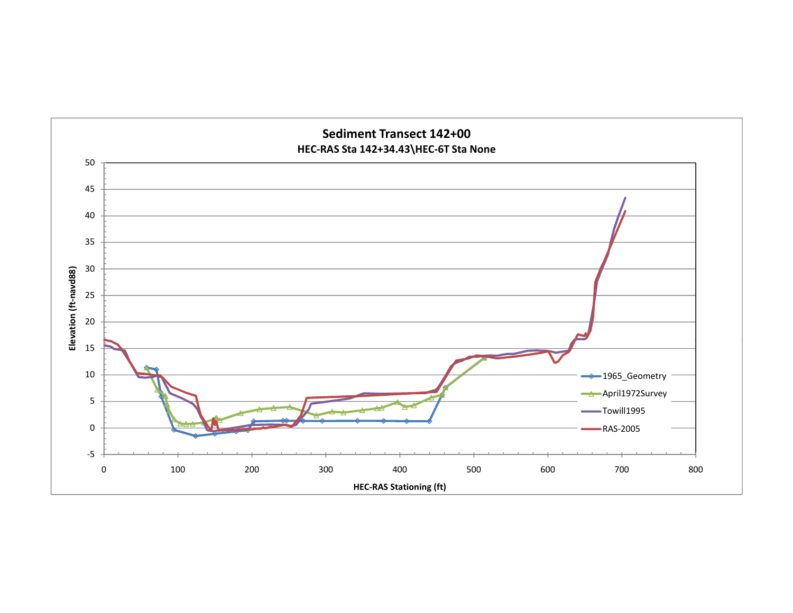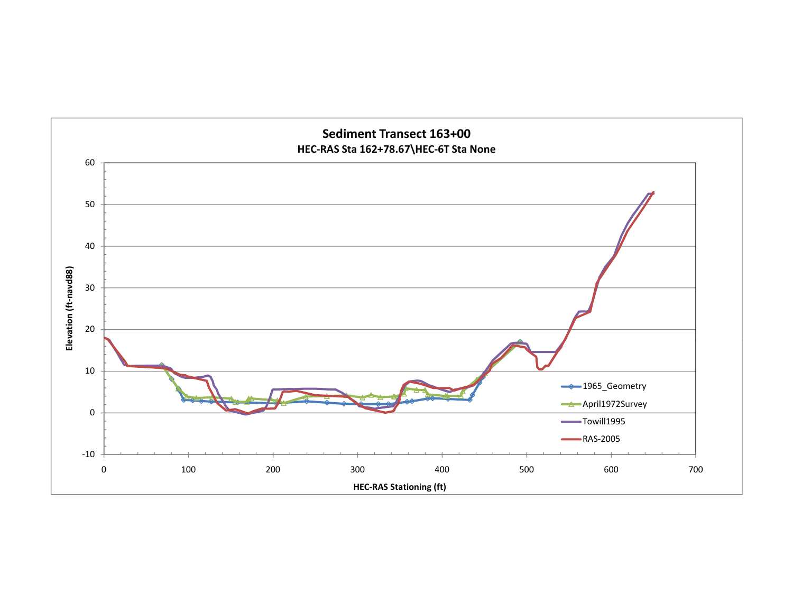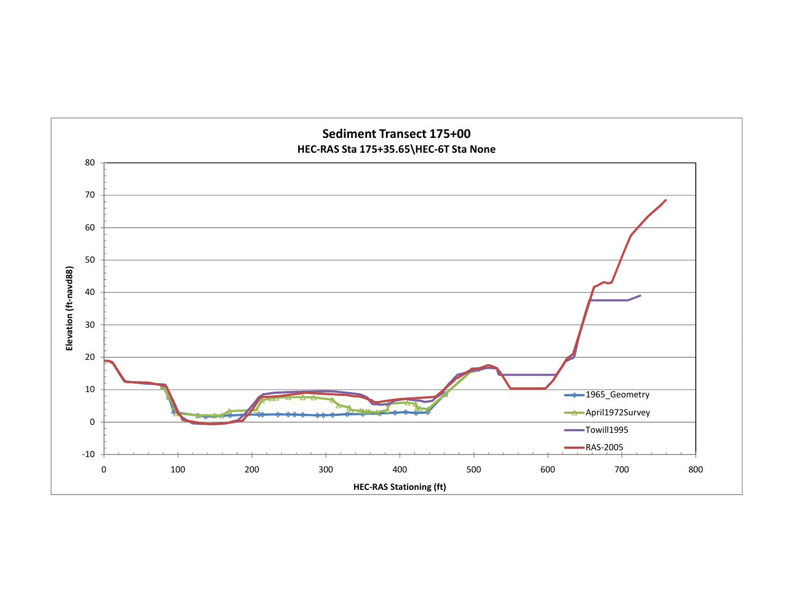